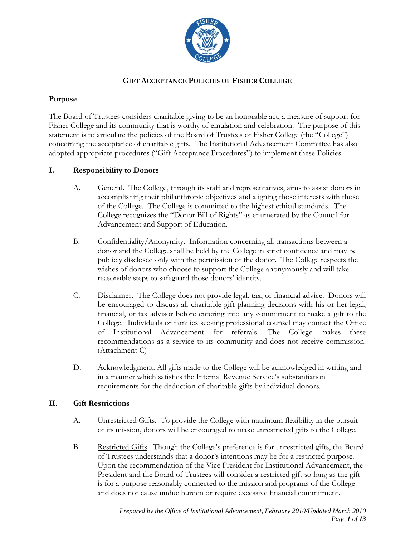

# **GIFT ACCEPTANCE POLICIES OF FISHER COLLEGE**

## **Purpose**

The Board of Trustees considers charitable giving to be an honorable act, a measure of support for Fisher College and its community that is worthy of emulation and celebration. The purpose of this statement is to articulate the policies of the Board of Trustees of Fisher College (the "College") concerning the acceptance of charitable gifts. The Institutional Advancement Committee has also adopted appropriate procedures ("Gift Acceptance Procedures") to implement these Policies.

# **I. Responsibility to Donors**

- A. General. The College, through its staff and representatives, aims to assist donors in accomplishing their philanthropic objectives and aligning those interests with those of the College. The College is committed to the highest ethical standards. The College recognizes the "Donor Bill of Rights" as enumerated by the Council for Advancement and Support of Education.
- B. Confidentiality/Anonymity. Information concerning all transactions between a donor and the College shall be held by the College in strict confidence and may be publicly disclosed only with the permission of the donor. The College respects the wishes of donors who choose to support the College anonymously and will take reasonable steps to safeguard those donors' identity.
- C. Disclaimer. The College does not provide legal, tax, or financial advice. Donors will be encouraged to discuss all charitable gift planning decisions with his or her legal, financial, or tax advisor before entering into any commitment to make a gift to the College. Individuals or families seeking professional counsel may contact the Office of Institutional Advancement for referrals. The College makes these recommendations as a service to its community and does not receive commission. (Attachment C)
- D. Acknowledgment. All gifts made to the College will be acknowledged in writing and in a manner which satisfies the Internal Revenue Service's substantiation requirements for the deduction of charitable gifts by individual donors.

# **II. Gift Restrictions**

- A. Unrestricted Gifts. To provide the College with maximum flexibility in the pursuit of its mission, donors will be encouraged to make unrestricted gifts to the College.
- B. Restricted Gifts. Though the College's preference is for unrestricted gifts, the Board of Trustees understands that a donor's intentions may be for a restricted purpose. Upon the recommendation of the Vice President for Institutional Advancement, the President and the Board of Trustees will consider a restricted gift so long as the gift is for a purpose reasonably connected to the mission and programs of the College and does not cause undue burden or require excessive financial commitment.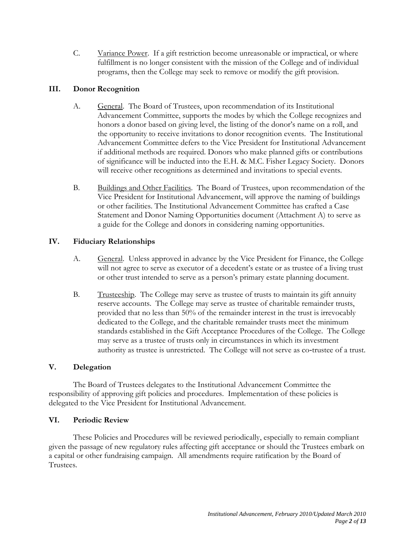C. Variance Power. If a gift restriction become unreasonable or impractical, or where fulfillment is no longer consistent with the mission of the College and of individual programs, then the College may seek to remove or modify the gift provision.

# **III. Donor Recognition**

- A. General. The Board of Trustees, upon recommendation of its Institutional Advancement Committee, supports the modes by which the College recognizes and honors a donor based on giving level, the listing of the donor's name on a roll, and the opportunity to receive invitations to donor recognition events. The Institutional Advancement Committee defers to the Vice President for Institutional Advancement if additional methods are required. Donors who make planned gifts or contributions of significance will be inducted into the E.H. & M.C. Fisher Legacy Society. Donors will receive other recognitions as determined and invitations to special events.
- B. Buildings and Other Facilities. The Board of Trustees, upon recommendation of the Vice President for Institutional Advancement, will approve the naming of buildings or other facilities. The Institutional Advancement Committee has crafted a Case Statement and Donor Naming Opportunities document (Attachment A) to serve as a guide for the College and donors in considering naming opportunities.

## **IV. Fiduciary Relationships**

- A. General. Unless approved in advance by the Vice President for Finance, the College will not agree to serve as executor of a decedent's estate or as trustee of a living trust or other trust intended to serve as a person's primary estate planning document.
- B. Trusteeship. The College may serve as trustee of trusts to maintain its gift annuity reserve accounts. The College may serve as trustee of charitable remainder trusts, provided that no less than 50% of the remainder interest in the trust is irrevocably dedicated to the College, and the charitable remainder trusts meet the minimum standards established in the Gift Acceptance Procedures of the College. The College may serve as a trustee of trusts only in circumstances in which its investment authority as trustee is unrestricted. The College will not serve as co-trustee of a trust.

### **V. Delegation**

The Board of Trustees delegates to the Institutional Advancement Committee the responsibility of approving gift policies and procedures. Implementation of these policies is delegated to the Vice President for Institutional Advancement.

### **VI. Periodic Review**

These Policies and Procedures will be reviewed periodically, especially to remain compliant given the passage of new regulatory rules affecting gift acceptance or should the Trustees embark on a capital or other fundraising campaign. All amendments require ratification by the Board of Trustees.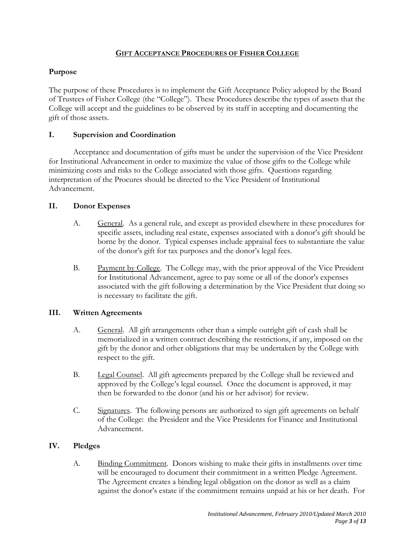### **GIFT ACCEPTANCE PROCEDURES OF FISHER COLLEGE**

## **Purpose**

The purpose of these Procedures is to implement the Gift Acceptance Policy adopted by the Board of Trustees of Fisher College (the "College"). These Procedures describe the types of assets that the College will accept and the guidelines to be observed by its staff in accepting and documenting the gift of those assets.

## **I. Supervision and Coordination**

Acceptance and documentation of gifts must be under the supervision of the Vice President for Institutional Advancement in order to maximize the value of those gifts to the College while minimizing costs and risks to the College associated with those gifts. Questions regarding interpretation of the Procures should be directed to the Vice President of Institutional Advancement.

## **II. Donor Expenses**

- A. General. As a general rule, and except as provided elsewhere in these procedures for specific assets, including real estate, expenses associated with a donor's gift should be borne by the donor. Typical expenses include appraisal fees to substantiate the value of the donor's gift for tax purposes and the donor's legal fees.
- B. Payment by College. The College may, with the prior approval of the Vice President for Institutional Advancement, agree to pay some or all of the donor's expenses associated with the gift following a determination by the Vice President that doing so is necessary to facilitate the gift.

# **III. Written Agreements**

- A. General. All gift arrangements other than a simple outright gift of cash shall be memorialized in a written contract describing the restrictions, if any, imposed on the gift by the donor and other obligations that may be undertaken by the College with respect to the gift.
- B. Legal Counsel. All gift agreements prepared by the College shall be reviewed and approved by the College's legal counsel. Once the document is approved, it may then be forwarded to the donor (and his or her advisor) for review.
- C. Signatures. The following persons are authorized to sign gift agreements on behalf of the College: the President and the Vice Presidents for Finance and Institutional Advancement.

# **IV. Pledges**

A. Binding Commitment. Donors wishing to make their gifts in installments over time will be encouraged to document their commitment in a written Pledge Agreement. The Agreement creates a binding legal obligation on the donor as well as a claim against the donor's estate if the commitment remains unpaid at his or her death. For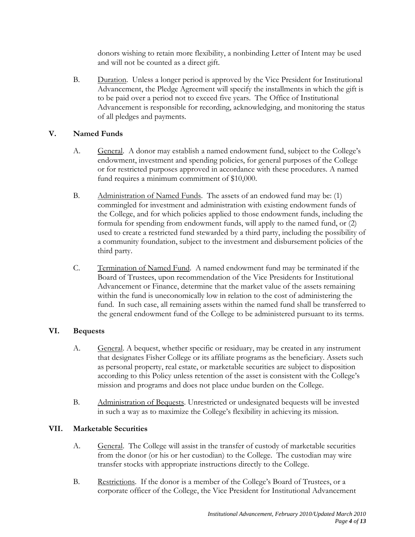donors wishing to retain more flexibility, a nonbinding Letter of Intent may be used and will not be counted as a direct gift.

B. Duration. Unless a longer period is approved by the Vice President for Institutional Advancement, the Pledge Agreement will specify the installments in which the gift is to be paid over a period not to exceed five years. The Office of Institutional Advancement is responsible for recording, acknowledging, and monitoring the status of all pledges and payments.

# **V. Named Funds**

- A. General. A donor may establish a named endowment fund, subject to the College's endowment, investment and spending policies, for general purposes of the College or for restricted purposes approved in accordance with these procedures. A named fund requires a minimum commitment of \$10,000.
- B. Administration of Named Funds. The assets of an endowed fund may be: (1) commingled for investment and administration with existing endowment funds of the College, and for which policies applied to those endowment funds, including the formula for spending from endowment funds, will apply to the named fund, or (2) used to create a restricted fund stewarded by a third party, including the possibility of a community foundation, subject to the investment and disbursement policies of the third party.
- C. Termination of Named Fund. A named endowment fund may be terminated if the Board of Trustees, upon recommendation of the Vice Presidents for Institutional Advancement or Finance, determine that the market value of the assets remaining within the fund is uneconomically low in relation to the cost of administering the fund. In such case, all remaining assets within the named fund shall be transferred to the general endowment fund of the College to be administered pursuant to its terms.

# **VI. Bequests**

- A. General. A bequest, whether specific or residuary, may be created in any instrument that designates Fisher College or its affiliate programs as the beneficiary. Assets such as personal property, real estate, or marketable securities are subject to disposition according to this Policy unless retention of the asset is consistent with the College's mission and programs and does not place undue burden on the College.
- B. Administration of Bequests. Unrestricted or undesignated bequests will be invested in such a way as to maximize the College's flexibility in achieving its mission.

# **VII. Marketable Securities**

- A. General. The College will assist in the transfer of custody of marketable securities from the donor (or his or her custodian) to the College. The custodian may wire transfer stocks with appropriate instructions directly to the College.
- B. Restrictions. If the donor is a member of the College's Board of Trustees, or a corporate officer of the College, the Vice President for Institutional Advancement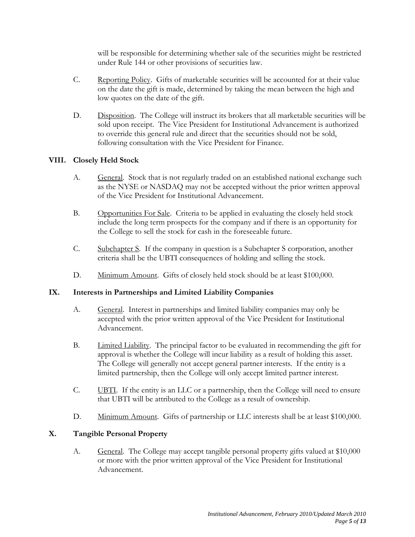will be responsible for determining whether sale of the securities might be restricted under Rule 144 or other provisions of securities law.

- C. Reporting Policy. Gifts of marketable securities will be accounted for at their value on the date the gift is made, determined by taking the mean between the high and low quotes on the date of the gift.
- D. Disposition. The College will instruct its brokers that all marketable securities will be sold upon receipt. The Vice President for Institutional Advancement is authorized to override this general rule and direct that the securities should not be sold, following consultation with the Vice President for Finance.

## **VIII. Closely Held Stock**

- A. General. Stock that is not regularly traded on an established national exchange such as the NYSE or NASDAQ may not be accepted without the prior written approval of the Vice President for Institutional Advancement.
- B. Opportunities For Sale. Criteria to be applied in evaluating the closely held stock include the long term prospects for the company and if there is an opportunity for the College to sell the stock for cash in the foreseeable future.
- C. Subchapter S. If the company in question is a Subchapter S corporation, another criteria shall be the UBTI consequences of holding and selling the stock.
- D. Minimum Amount. Gifts of closely held stock should be at least \$100,000.

### **IX. Interests in Partnerships and Limited Liability Companies**

- A. General. Interest in partnerships and limited liability companies may only be accepted with the prior written approval of the Vice President for Institutional Advancement.
- B. Limited Liability. The principal factor to be evaluated in recommending the gift for approval is whether the College will incur liability as a result of holding this asset. The College will generally not accept general partner interests. If the entity is a limited partnership, then the College will only accept limited partner interest.
- C. UBTI. If the entity is an LLC or a partnership, then the College will need to ensure that UBTI will be attributed to the College as a result of ownership.
- D. Minimum Amount. Gifts of partnership or LLC interests shall be at least \$100,000.

### **X. Tangible Personal Property**

A. General. The College may accept tangible personal property gifts valued at \$10,000 or more with the prior written approval of the Vice President for Institutional Advancement.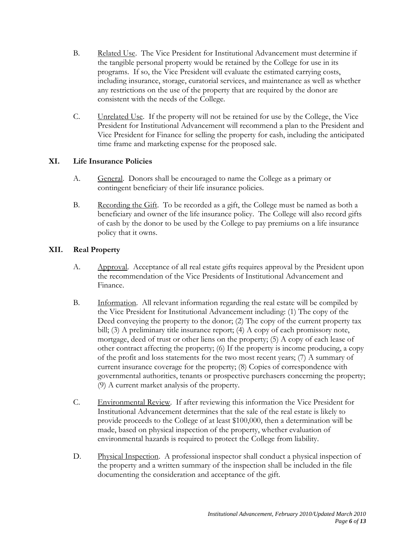- B. Related Use. The Vice President for Institutional Advancement must determine if the tangible personal property would be retained by the College for use in its programs. If so, the Vice President will evaluate the estimated carrying costs, including insurance, storage, curatorial services, and maintenance as well as whether any restrictions on the use of the property that are required by the donor are consistent with the needs of the College.
- C. Unrelated Use. If the property will not be retained for use by the College, the Vice President for Institutional Advancement will recommend a plan to the President and Vice President for Finance for selling the property for cash, including the anticipated time frame and marketing expense for the proposed sale.

## **XI. Life Insurance Policies**

- A. General. Donors shall be encouraged to name the College as a primary or contingent beneficiary of their life insurance policies.
- B. Recording the Gift. To be recorded as a gift, the College must be named as both a beneficiary and owner of the life insurance policy. The College will also record gifts of cash by the donor to be used by the College to pay premiums on a life insurance policy that it owns.

# **XII. Real Property**

- A. Approval. Acceptance of all real estate gifts requires approval by the President upon the recommendation of the Vice Presidents of Institutional Advancement and Finance.
- B. Information. All relevant information regarding the real estate will be compiled by the Vice President for Institutional Advancement including: (1) The copy of the Deed conveying the property to the donor; (2) The copy of the current property tax bill; (3) A preliminary title insurance report; (4) A copy of each promissory note, mortgage, deed of trust or other liens on the property; (5) A copy of each lease of other contract affecting the property; (6) If the property is income producing, a copy of the profit and loss statements for the two most recent years; (7) A summary of current insurance coverage for the property; (8) Copies of correspondence with governmental authorities, tenants or prospective purchasers concerning the property; (9) A current market analysis of the property.
- C. Environmental Review. If after reviewing this information the Vice President for Institutional Advancement determines that the sale of the real estate is likely to provide proceeds to the College of at least \$100,000, then a determination will be made, based on physical inspection of the property, whether evaluation of environmental hazards is required to protect the College from liability.
- D. Physical Inspection. A professional inspector shall conduct a physical inspection of the property and a written summary of the inspection shall be included in the file documenting the consideration and acceptance of the gift.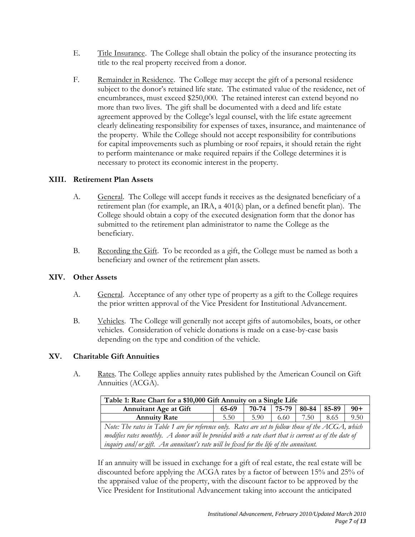- E. Title Insurance. The College shall obtain the policy of the insurance protecting its title to the real property received from a donor.
- F. Remainder in Residence. The College may accept the gift of a personal residence subject to the donor's retained life state. The estimated value of the residence, net of encumbrances, must exceed \$250,000. The retained interest can extend beyond no more than two lives. The gift shall be documented with a deed and life estate agreement approved by the College's legal counsel, with the life estate agreement clearly delineating responsibility for expenses of taxes, insurance, and maintenance of the property. While the College should not accept responsibility for contributions for capital improvements such as plumbing or roof repairs, it should retain the right to perform maintenance or make required repairs if the College determines it is necessary to protect its economic interest in the property.

## **XIII. Retirement Plan Assets**

- A. General. The College will accept funds it receives as the designated beneficiary of a retirement plan (for example, an IRA, a 401(k) plan, or a defined benefit plan). The College should obtain a copy of the executed designation form that the donor has submitted to the retirement plan administrator to name the College as the beneficiary.
- B. Recording the Gift. To be recorded as a gift, the College must be named as both a beneficiary and owner of the retirement plan assets.

### **XIV. Other Assets**

- A. General. Acceptance of any other type of property as a gift to the College requires the prior written approval of the Vice President for Institutional Advancement.
- B. Vehicles. The College will generally not accept gifts of automobiles, boats, or other vehicles. Consideration of vehicle donations is made on a case-by-case basis depending on the type and condition of the vehicle.

# **XV. Charitable Gift Annuities**

A. Rates. The College applies annuity rates published by the American Council on Gift Annuities (ACGA).

| Table 1: Rate Chart for a \$10,000 Gift Annuity on a Single Life                                     |       |       |       |       |       |       |  |
|------------------------------------------------------------------------------------------------------|-------|-------|-------|-------|-------|-------|--|
| <b>Annuitant Age at Gift</b>                                                                         | 65-69 | 70-74 | 75-79 | 80-84 | 85-89 | $90+$ |  |
| <b>Annuity Rate</b>                                                                                  | 5.50  | 5.90  | 6.60  | 7.50  | 8.65  | 9.50  |  |
| Note: The rates in Table 1 are for reference only. Rates are set to follow those of the ACGA, which  |       |       |       |       |       |       |  |
| modifies rates monthly. A donor will be provided with a rate chart that is current as of the date of |       |       |       |       |       |       |  |
| inquiry and/ or gift. An annuitant's rate will be fixed for the life of the annuitant.               |       |       |       |       |       |       |  |

If an annuity will be issued in exchange for a gift of real estate, the real estate will be discounted before applying the ACGA rates by a factor of between 15% and 25% of the appraised value of the property, with the discount factor to be approved by the Vice President for Institutional Advancement taking into account the anticipated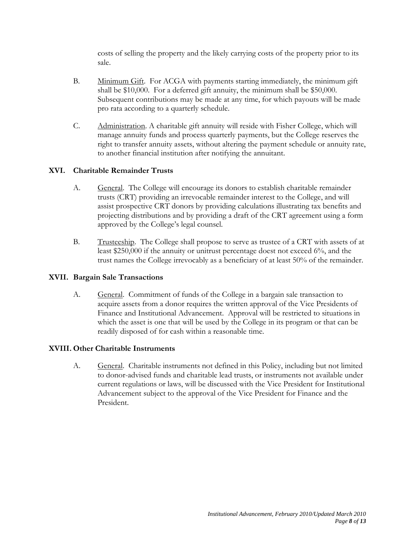costs of selling the property and the likely carrying costs of the property prior to its sale.

- B. Minimum Gift. For ACGA with payments starting immediately, the minimum gift shall be \$10,000. For a deferred gift annuity, the minimum shall be \$50,000. Subsequent contributions may be made at any time, for which payouts will be made pro rata according to a quarterly schedule.
- C. Administration. A charitable gift annuity will reside with Fisher College, which will manage annuity funds and process quarterly payments, but the College reserves the right to transfer annuity assets, without altering the payment schedule or annuity rate, to another financial institution after notifying the annuitant.

## **XVI. Charitable Remainder Trusts**

- A. General. The College will encourage its donors to establish charitable remainder trusts (CRT) providing an irrevocable remainder interest to the College, and will assist prospective CRT donors by providing calculations illustrating tax benefits and projecting distributions and by providing a draft of the CRT agreement using a form approved by the College's legal counsel.
- B. Trusteeship. The College shall propose to serve as trustee of a CRT with assets of at least \$250,000 if the annuity or unitrust percentage doest not exceed 6%, and the trust names the College irrevocably as a beneficiary of at least 50% of the remainder.

### **XVII. Bargain Sale Transactions**

A. General. Commitment of funds of the College in a bargain sale transaction to acquire assets from a donor requires the written approval of the Vice Presidents of Finance and Institutional Advancement. Approval will be restricted to situations in which the asset is one that will be used by the College in its program or that can be readily disposed of for cash within a reasonable time.

### **XVIII. Other Charitable Instruments**

A. General. Charitable instruments not defined in this Policy, including but not limited to donor-advised funds and charitable lead trusts, or instruments not available under current regulations or laws, will be discussed with the Vice President for Institutional Advancement subject to the approval of the Vice President for Finance and the President.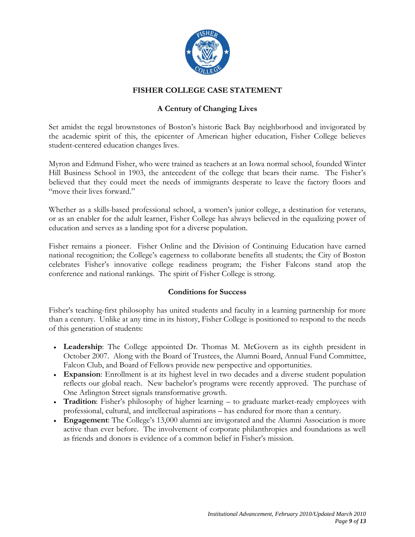

# **FISHER COLLEGE CASE STATEMENT**

# **A Century of Changing Lives**

Set amidst the regal brownstones of Boston's historic Back Bay neighborhood and invigorated by the academic spirit of this, the epicenter of American higher education, Fisher College believes student-centered education changes lives.

Myron and Edmund Fisher, who were trained as teachers at an Iowa normal school, founded Winter Hill Business School in 1903, the antecedent of the college that bears their name. The Fisher's believed that they could meet the needs of immigrants desperate to leave the factory floors and "move their lives forward."

Whether as a skills-based professional school, a women's junior college, a destination for veterans, or as an enabler for the adult learner, Fisher College has always believed in the equalizing power of education and serves as a landing spot for a diverse population.

Fisher remains a pioneer. Fisher Online and the Division of Continuing Education have earned national recognition; the College's eagerness to collaborate benefits all students; the City of Boston celebrates Fisher's innovative college readiness program; the Fisher Falcons stand atop the conference and national rankings. The spirit of Fisher College is strong.

### **Conditions for Success**

Fisher's teaching-first philosophy has united students and faculty in a learning partnership for more than a century. Unlike at any time in its history, Fisher College is positioned to respond to the needs of this generation of students:

- **Leadership**: The College appointed Dr. Thomas M. McGovern as its eighth president in October 2007. Along with the Board of Trustees, the Alumni Board, Annual Fund Committee, Falcon Club, and Board of Fellows provide new perspective and opportunities.
- **Expansion**: Enrollment is at its highest level in two decades and a diverse student population reflects our global reach. New bachelor's programs were recently approved. The purchase of One Arlington Street signals transformative growth.
- **Tradition**: Fisher's philosophy of higher learning to graduate market-ready employees with professional, cultural, and intellectual aspirations – has endured for more than a century.
- **Engagement**: The College's 13,000 alumni are invigorated and the Alumni Association is more active than ever before. The involvement of corporate philanthropies and foundations as well as friends and donors is evidence of a common belief in Fisher's mission.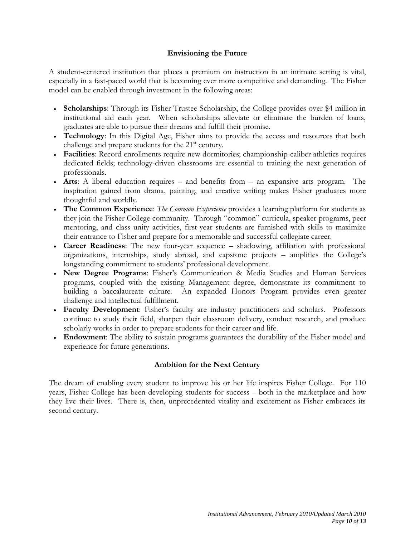#### **Envisioning the Future**

A student-centered institution that places a premium on instruction in an intimate setting is vital, especially in a fast-paced world that is becoming ever more competitive and demanding. The Fisher model can be enabled through investment in the following areas:

- **Scholarships**: Through its Fisher Trustee Scholarship, the College provides over \$4 million in institutional aid each year. When scholarships alleviate or eliminate the burden of loans, graduates are able to pursue their dreams and fulfill their promise.
- **Technology**: In this Digital Age, Fisher aims to provide the access and resources that both challenge and prepare students for the  $21<sup>st</sup>$  century.
- **Facilities**: Record enrollments require new dormitories; championship-caliber athletics requires dedicated fields; technology-driven classrooms are essential to training the next generation of professionals.
- **Arts**: A liberal education requires and benefits from an expansive arts program. The inspiration gained from drama, painting, and creative writing makes Fisher graduates more thoughtful and worldly.
- **The Common Experience**: *The Common Experience* provides a learning platform for students as they join the Fisher College community. Through "common" curricula, speaker programs, peer mentoring, and class unity activities, first-year students are furnished with skills to maximize their entrance to Fisher and prepare for a memorable and successful collegiate career.
- **Career Readiness**: The new four-year sequence shadowing, affiliation with professional organizations, internships, study abroad, and capstone projects – amplifies the College's longstanding commitment to students' professional development.
- **New Degree Programs**: Fisher's Communication & Media Studies and Human Services programs, coupled with the existing Management degree, demonstrate its commitment to building a baccalaureate culture. An expanded Honors Program provides even greater challenge and intellectual fulfillment.
- **Faculty Development**: Fisher's faculty are industry practitioners and scholars. Professors continue to study their field, sharpen their classroom delivery, conduct research, and produce scholarly works in order to prepare students for their career and life.
- **Endowment**: The ability to sustain programs guarantees the durability of the Fisher model and experience for future generations.

### **Ambition for the Next Century**

The dream of enabling every student to improve his or her life inspires Fisher College. For 110 years, Fisher College has been developing students for success – both in the marketplace and how they live their lives. There is, then, unprecedented vitality and excitement as Fisher embraces its second century.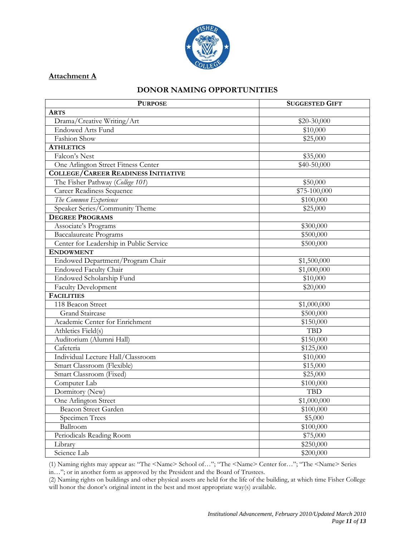

## **Attachment A**

## **DONOR NAMING OPPORTUNITIES**

| <b>PURPOSE</b>                             | <b>SUGGESTED GIFT</b> |
|--------------------------------------------|-----------------------|
| <b>ARTS</b>                                |                       |
| Drama/Creative Writing/Art                 | $$20-30,000$          |
| <b>Endowed Arts Fund</b>                   | \$10,000              |
| Fashion Show                               | \$25,000              |
| <b>ATHLETICS</b>                           |                       |
| Falcon's Nest                              | \$35,000              |
| One Arlington Street Fitness Center        | \$40-50,000           |
| <b>COLLEGE/CAREER READINESS INITIATIVE</b> |                       |
| The Fisher Pathway (College 101)           | \$50,000              |
| <b>Career Readiness Sequence</b>           | \$75-100,000          |
| The Common Experience                      | \$100,000             |
| Speaker Series/Community Theme             | \$25,000              |
| <b>DEGREE PROGRAMS</b>                     |                       |
| Associate's Programs                       | \$300,000             |
| <b>Baccalaureate Programs</b>              | \$500,000             |
| Center for Leadership in Public Service    | \$500,000             |
| <b>ENDOWMENT</b>                           |                       |
| Endowed Department/Program Chair           | \$1,500,000           |
| Endowed Faculty Chair                      | \$1,000,000           |
| Endowed Scholarship Fund                   | \$10,000              |
| <b>Faculty Development</b>                 | \$20,000              |
| <b>FACILITIES</b>                          |                       |
| 118 Beacon Street                          | \$1,000,000           |
| <b>Grand Staircase</b>                     | \$500,000             |
| Academic Center for Enrichment             | \$150,000             |
| Athletics Field(s)                         | <b>TBD</b>            |
| Auditorium (Alumni Hall)                   | \$150,000             |
| Cafeteria                                  | \$125,000             |
| Individual Lecture Hall/Classroom          | \$10,000              |
| Smart Classroom (Flexible)                 | \$15,000              |
| Smart Classroom (Fixed)                    | \$25,000              |
| Computer Lab                               | \$100,000             |
| Dormitory (New)                            | <b>TBD</b>            |
| One Arlington Street                       | \$1,000,000           |
| Beacon Street Garden                       | \$100,000             |
| Specimen Trees                             | \$5,000               |
| Ballroom                                   | \$100,000             |
| Periodicals Reading Room                   | \$75,000              |
| Library                                    | \$250,000             |
| Science Lab                                | \$200,000             |

(1) Naming rights may appear as: "The <Name> School of…"; "The <Name> Center for…"; "The <Name> Series in…"; or in another form as approved by the President and the Board of Trustees.

(2) Naming rights on buildings and other physical assets are held for the life of the building, at which time Fisher College will honor the donor's original intent in the best and most appropriate way(s) available.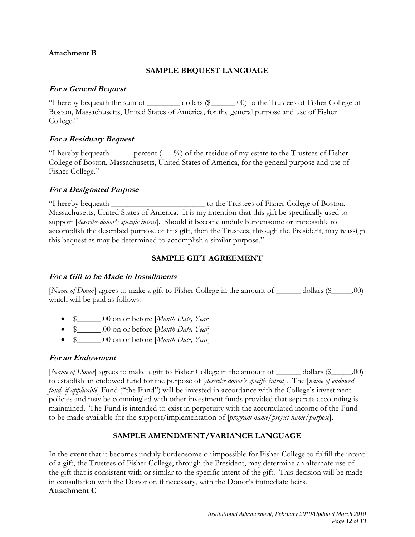## **Attachment B**

# **SAMPLE BEQUEST LANGUAGE**

## **For a General Bequest**

"I hereby bequeath the sum of \_\_\_\_\_\_\_\_ dollars (\$\_\_\_\_\_\_.00) to the Trustees of Fisher College of Boston, Massachusetts, United States of America, for the general purpose and use of Fisher College."

# **For a Residuary Bequest**

"I hereby bequeath  $\_\_\_\$ percent ( $\_\_\%$ ) of the residue of my estate to the Trustees of Fisher College of Boston, Massachusetts, United States of America, for the general purpose and use of Fisher College."

## **For a Designated Purpose**

"I hereby bequeath \_\_\_\_\_\_\_\_\_\_\_\_\_\_\_\_\_\_\_\_\_\_\_ to the Trustees of Fisher College of Boston, Massachusetts, United States of America. It is my intention that this gift be specifically used to support [*describe donor's specific intent*]. Should it become unduly burdensome or impossible to accomplish the described purpose of this gift, then the Trustees, through the President, may reassign this bequest as may be determined to accomplish a similar purpose."

## **SAMPLE GIFT AGREEMENT**

### **For a Gift to be Made in Installments**

[*Name of Donor*] agrees to make a gift to Fisher College in the amount of <u>collective</u> dollars (\$<sub>000</sub> m) which will be paid as follows:

- \$\_\_\_\_\_\_.00 on or before [*Month Date, Year*]
- \$\_\_\_\_\_\_.00 on or before [*Month Date, Year*]
- \$\_\_\_\_\_\_.00 on or before [*Month Date, Year*]

### **For an Endowment**

[*Name of Donor*] agrees to make a gift to Fisher College in the amount of <u>collective</u> dollars (\$<sub>\_\_\_\_\_\_</sub>\_\_.00) to establish an endowed fund for the purpose of [*describe donor's specific intent*]. The [*name of endowed fund, if applicable*] Fund ("the Fund") will be invested in accordance with the College's investment policies and may be commingled with other investment funds provided that separate accounting is maintained. The Fund is intended to exist in perpetuity with the accumulated income of the Fund to be made available for the support/implementation of [*program name/project name/purpose*].

# **SAMPLE AMENDMENT/VARIANCE LANGUAGE**

In the event that it becomes unduly burdensome or impossible for Fisher College to fulfill the intent of a gift, the Trustees of Fisher College, through the President, may determine an alternate use of the gift that is consistent with or similar to the specific intent of the gift. This decision will be made in consultation with the Donor or, if necessary, with the Donor's immediate heirs. **Attachment C**